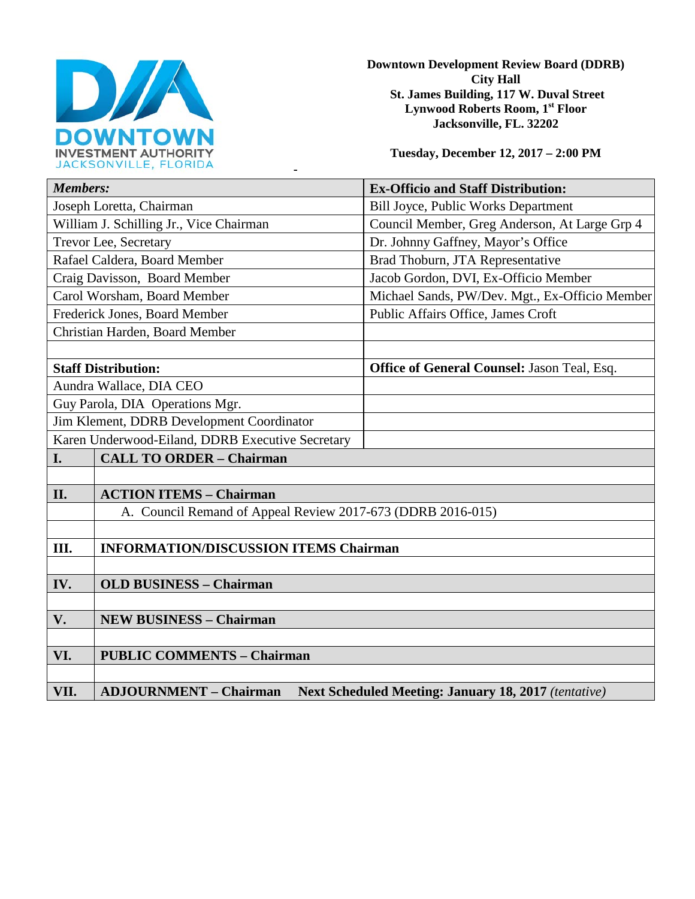

**Downtown Development Review Board (DDRB) City Hall St. James Building, 117 W. Duval Street Lynwood Roberts Room, 1st Floor Jacksonville, FL. 32202** 

**Tuesday, December 12, 2017 – 2:00 PM**

| JACNJUNVILLE, FLUNIDA                                                                                |                                                |
|------------------------------------------------------------------------------------------------------|------------------------------------------------|
| <b>Members:</b>                                                                                      | <b>Ex-Officio and Staff Distribution:</b>      |
| Joseph Loretta, Chairman                                                                             | <b>Bill Joyce, Public Works Department</b>     |
| William J. Schilling Jr., Vice Chairman                                                              | Council Member, Greg Anderson, At Large Grp 4  |
| Trevor Lee, Secretary                                                                                | Dr. Johnny Gaffney, Mayor's Office             |
| Rafael Caldera, Board Member                                                                         | Brad Thoburn, JTA Representative               |
| Craig Davisson, Board Member                                                                         | Jacob Gordon, DVI, Ex-Officio Member           |
| Carol Worsham, Board Member                                                                          | Michael Sands, PW/Dev. Mgt., Ex-Officio Member |
| Frederick Jones, Board Member                                                                        | Public Affairs Office, James Croft             |
| Christian Harden, Board Member                                                                       |                                                |
|                                                                                                      |                                                |
| <b>Staff Distribution:</b>                                                                           | Office of General Counsel: Jason Teal, Esq.    |
| Aundra Wallace, DIA CEO                                                                              |                                                |
| Guy Parola, DIA Operations Mgr.                                                                      |                                                |
| Jim Klement, DDRB Development Coordinator                                                            |                                                |
| Karen Underwood-Eiland, DDRB Executive Secretary                                                     |                                                |
| <b>CALL TO ORDER - Chairman</b><br>I.                                                                |                                                |
|                                                                                                      |                                                |
| II.<br><b>ACTION ITEMS - Chairman</b>                                                                |                                                |
| A. Council Remand of Appeal Review 2017-673 (DDRB 2016-015)                                          |                                                |
|                                                                                                      |                                                |
| Ш.<br><b>INFORMATION/DISCUSSION ITEMS Chairman</b>                                                   |                                                |
|                                                                                                      |                                                |
| IV.<br><b>OLD BUSINESS - Chairman</b>                                                                |                                                |
|                                                                                                      |                                                |
| V.<br><b>NEW BUSINESS - Chairman</b>                                                                 |                                                |
|                                                                                                      |                                                |
| VI.<br><b>PUBLIC COMMENTS - Chairman</b>                                                             |                                                |
|                                                                                                      |                                                |
| VII.<br><b>Next Scheduled Meeting: January 18, 2017</b> (tentative)<br><b>ADJOURNMENT - Chairman</b> |                                                |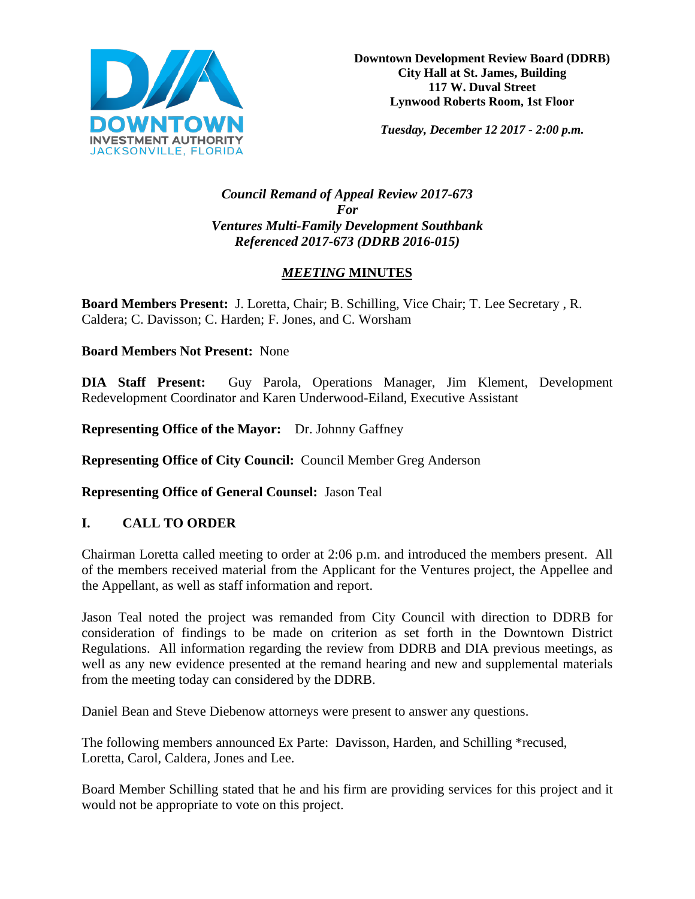

*Tuesday, December 12 2017 - 2:00 p.m.*

#### *Council Remand of Appeal Review 2017-673 For Ventures Multi-Family Development Southbank Referenced 2017-673 (DDRB 2016-015)*

# *MEETING* **MINUTES**

**Board Members Present:** J. Loretta, Chair; B. Schilling, Vice Chair; T. Lee Secretary , R. Caldera; C. Davisson; C. Harden; F. Jones, and C. Worsham

### **Board Members Not Present:** None

**DIA Staff Present:** Guy Parola, Operations Manager, Jim Klement, Development Redevelopment Coordinator and Karen Underwood-Eiland, Executive Assistant

**Representing Office of the Mayor:** Dr. Johnny Gaffney

**Representing Office of City Council:** Council Member Greg Anderson

**Representing Office of General Counsel:** Jason Teal

### **I. CALL TO ORDER**

Chairman Loretta called meeting to order at 2:06 p.m. and introduced the members present. All of the members received material from the Applicant for the Ventures project, the Appellee and the Appellant, as well as staff information and report.

Jason Teal noted the project was remanded from City Council with direction to DDRB for consideration of findings to be made on criterion as set forth in the Downtown District Regulations. All information regarding the review from DDRB and DIA previous meetings, as well as any new evidence presented at the remand hearing and new and supplemental materials from the meeting today can considered by the DDRB.

Daniel Bean and Steve Diebenow attorneys were present to answer any questions.

The following members announced Ex Parte: Davisson, Harden, and Schilling \*recused, Loretta, Carol, Caldera, Jones and Lee.

Board Member Schilling stated that he and his firm are providing services for this project and it would not be appropriate to vote on this project.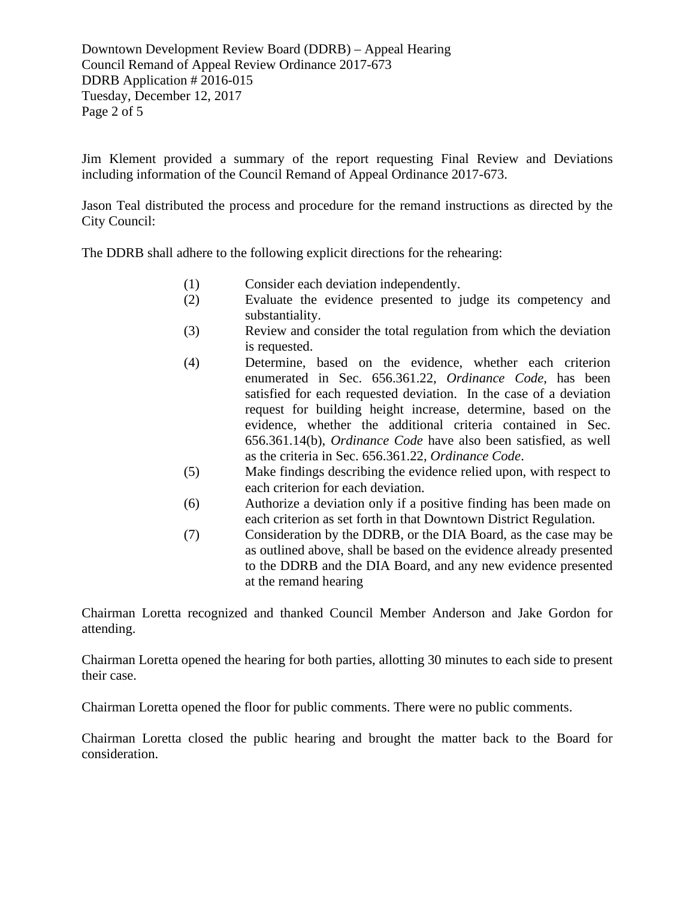Downtown Development Review Board (DDRB) – Appeal Hearing Council Remand of Appeal Review Ordinance 2017-673 DDRB Application # 2016-015 Tuesday, December 12, 2017 Page 2 of 5

Jim Klement provided a summary of the report requesting Final Review and Deviations including information of the Council Remand of Appeal Ordinance 2017-673.

Jason Teal distributed the process and procedure for the remand instructions as directed by the City Council:

The DDRB shall adhere to the following explicit directions for the rehearing:

- (1) Consider each deviation independently.
- (2) Evaluate the evidence presented to judge its competency and substantiality.
- (3) Review and consider the total regulation from which the deviation is requested.
- (4) Determine, based on the evidence, whether each criterion enumerated in Sec. 656.361.22, *Ordinance Code*, has been satisfied for each requested deviation. In the case of a deviation request for building height increase, determine, based on the evidence, whether the additional criteria contained in Sec. 656.361.14(b), *Ordinance Code* have also been satisfied, as well as the criteria in Sec. 656.361.22, *Ordinance Code*.
- (5) Make findings describing the evidence relied upon, with respect to each criterion for each deviation.
- (6) Authorize a deviation only if a positive finding has been made on each criterion as set forth in that Downtown District Regulation.
- (7) Consideration by the DDRB, or the DIA Board, as the case may be as outlined above, shall be based on the evidence already presented to the DDRB and the DIA Board, and any new evidence presented at the remand hearing

Chairman Loretta recognized and thanked Council Member Anderson and Jake Gordon for attending.

Chairman Loretta opened the hearing for both parties, allotting 30 minutes to each side to present their case.

Chairman Loretta opened the floor for public comments. There were no public comments.

Chairman Loretta closed the public hearing and brought the matter back to the Board for consideration.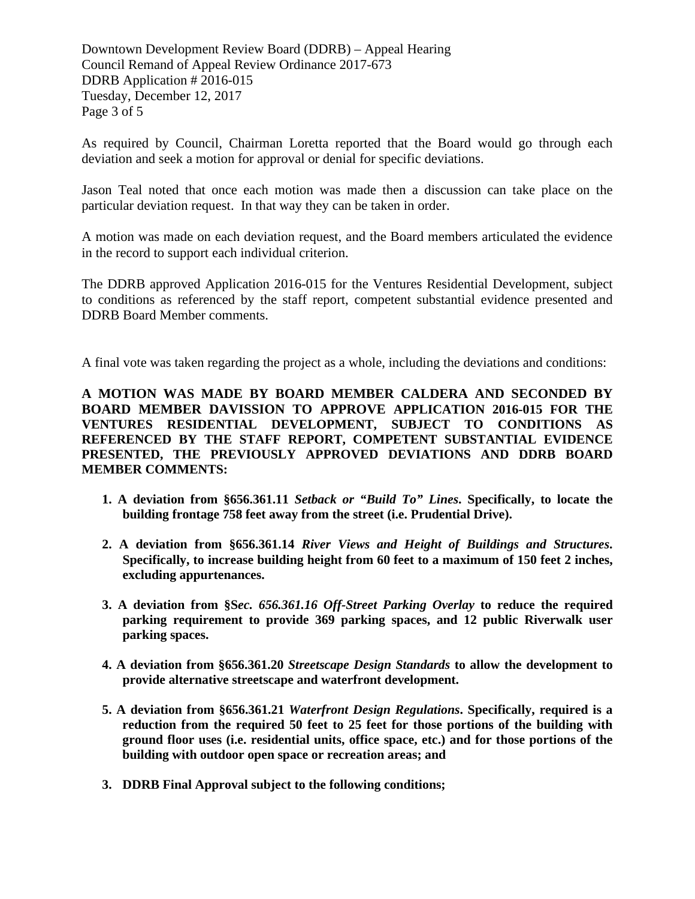Downtown Development Review Board (DDRB) – Appeal Hearing Council Remand of Appeal Review Ordinance 2017-673 DDRB Application # 2016-015 Tuesday, December 12, 2017 Page 3 of 5

As required by Council, Chairman Loretta reported that the Board would go through each deviation and seek a motion for approval or denial for specific deviations.

Jason Teal noted that once each motion was made then a discussion can take place on the particular deviation request. In that way they can be taken in order.

A motion was made on each deviation request, and the Board members articulated the evidence in the record to support each individual criterion.

The DDRB approved Application 2016-015 for the Ventures Residential Development, subject to conditions as referenced by the staff report, competent substantial evidence presented and DDRB Board Member comments.

A final vote was taken regarding the project as a whole, including the deviations and conditions:

**A MOTION WAS MADE BY BOARD MEMBER CALDERA AND SECONDED BY BOARD MEMBER DAVISSION TO APPROVE APPLICATION 2016-015 FOR THE VENTURES RESIDENTIAL DEVELOPMENT, SUBJECT TO CONDITIONS AS REFERENCED BY THE STAFF REPORT, COMPETENT SUBSTANTIAL EVIDENCE PRESENTED, THE PREVIOUSLY APPROVED DEVIATIONS AND DDRB BOARD MEMBER COMMENTS:** 

- **1. A deviation from §656.361.11** *Setback or "Build To" Lines***. Specifically, to locate the building frontage 758 feet away from the street (i.e. Prudential Drive).**
- **2. A deviation from §656.361.14** *River Views and Height of Buildings and Structures***. Specifically, to increase building height from 60 feet to a maximum of 150 feet 2 inches, excluding appurtenances.**
- **3. A deviation from §S***ec. 656.361.16 Off-Street Parking Overlay* **to reduce the required parking requirement to provide 369 parking spaces, and 12 public Riverwalk user parking spaces.**
- **4. A deviation from §656.361.20** *Streetscape Design Standards* **to allow the development to provide alternative streetscape and waterfront development.**
- **5. A deviation from §656.361.21** *Waterfront Design Regulations***. Specifically, required is a reduction from the required 50 feet to 25 feet for those portions of the building with ground floor uses (i.e. residential units, office space, etc.) and for those portions of the building with outdoor open space or recreation areas; and**
- **3. DDRB Final Approval subject to the following conditions;**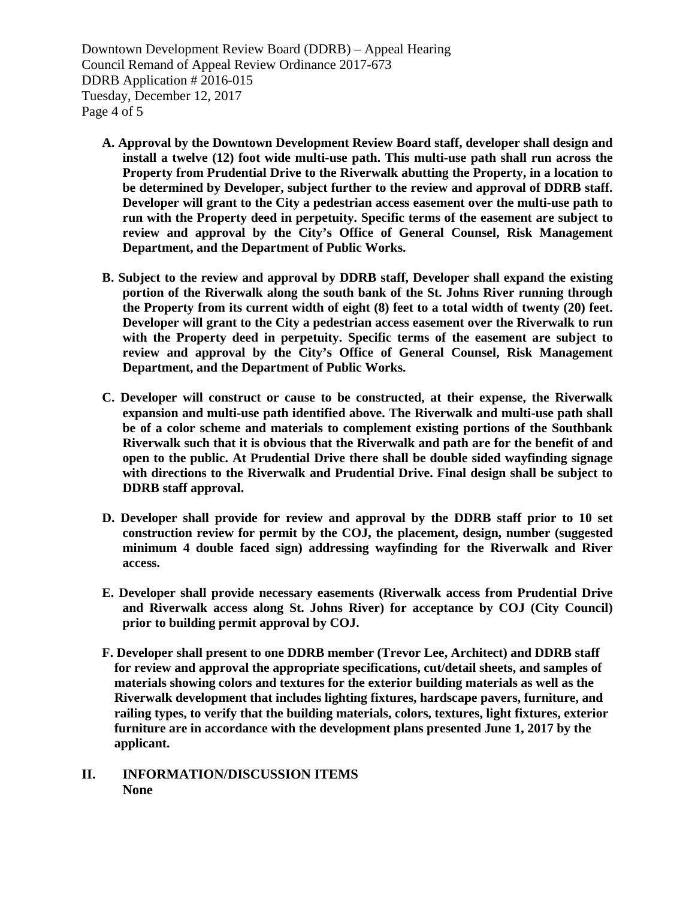Downtown Development Review Board (DDRB) – Appeal Hearing Council Remand of Appeal Review Ordinance 2017-673 DDRB Application # 2016-015 Tuesday, December 12, 2017 Page 4 of 5

- **A. Approval by the Downtown Development Review Board staff, developer shall design and install a twelve (12) foot wide multi-use path. This multi-use path shall run across the Property from Prudential Drive to the Riverwalk abutting the Property, in a location to be determined by Developer, subject further to the review and approval of DDRB staff. Developer will grant to the City a pedestrian access easement over the multi-use path to run with the Property deed in perpetuity. Specific terms of the easement are subject to review and approval by the City's Office of General Counsel, Risk Management Department, and the Department of Public Works.**
- **B. Subject to the review and approval by DDRB staff, Developer shall expand the existing portion of the Riverwalk along the south bank of the St. Johns River running through the Property from its current width of eight (8) feet to a total width of twenty (20) feet. Developer will grant to the City a pedestrian access easement over the Riverwalk to run with the Property deed in perpetuity. Specific terms of the easement are subject to review and approval by the City's Office of General Counsel, Risk Management Department, and the Department of Public Works.**
- **C. Developer will construct or cause to be constructed, at their expense, the Riverwalk expansion and multi-use path identified above. The Riverwalk and multi-use path shall be of a color scheme and materials to complement existing portions of the Southbank Riverwalk such that it is obvious that the Riverwalk and path are for the benefit of and open to the public. At Prudential Drive there shall be double sided wayfinding signage with directions to the Riverwalk and Prudential Drive. Final design shall be subject to DDRB staff approval.**
- **D. Developer shall provide for review and approval by the DDRB staff prior to 10 set construction review for permit by the COJ, the placement, design, number (suggested minimum 4 double faced sign) addressing wayfinding for the Riverwalk and River access.**
- **E. Developer shall provide necessary easements (Riverwalk access from Prudential Drive and Riverwalk access along St. Johns River) for acceptance by COJ (City Council) prior to building permit approval by COJ.**
- **F. Developer shall present to one DDRB member (Trevor Lee, Architect) and DDRB staff for review and approval the appropriate specifications, cut/detail sheets, and samples of materials showing colors and textures for the exterior building materials as well as the Riverwalk development that includes lighting fixtures, hardscape pavers, furniture, and railing types, to verify that the building materials, colors, textures, light fixtures, exterior furniture are in accordance with the development plans presented June 1, 2017 by the applicant.**
- **II. INFORMATION/DISCUSSION ITEMS None**